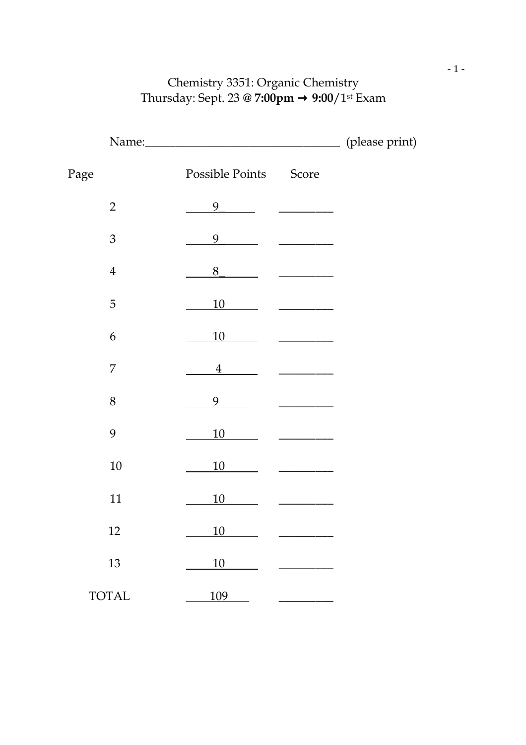## Chemistry 3351: Organic Chemistry Thursday: Sept. 23 **@ 7:00pm** → **9:00**/1st Exam

|      |                |                       |                        | (please print) |
|------|----------------|-----------------------|------------------------|----------------|
| Page |                | Possible Points Score |                        |                |
|      | $\overline{2}$ | 9                     |                        |                |
|      | $\mathfrak{Z}$ | 9                     |                        |                |
|      | $\overline{4}$ | 8                     |                        |                |
|      | $\mathbf 5$    | 10                    |                        |                |
|      | 6              | 10                    |                        |                |
|      | $\overline{7}$ | 4                     | and the company of the |                |
|      | $8\,$          | 9                     |                        |                |
|      | 9              | <u>10</u>             |                        |                |
|      | $10\,$         | 10                    |                        |                |
|      | 11             | 10                    |                        |                |
|      | 12             | 10                    |                        |                |
|      | 13             | <u>10</u>             |                        |                |
|      | <b>TOTAL</b>   | 109                   |                        |                |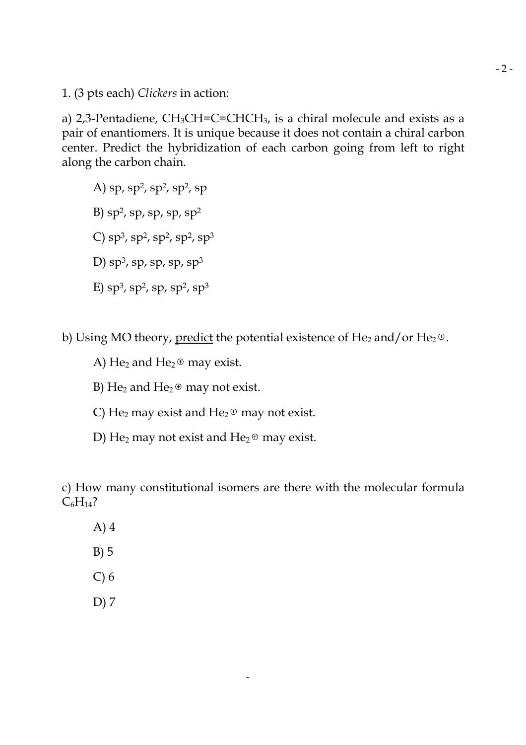1. (3 pts each) *Clickers* in action:

a) 2,3-Pentadiene,  $CH_3CH=C=CHCH_3$ , is a chiral molecule and exists as a pair of enantiomers. It is unique because it does not contain a chiral carbon center. Predict the hybridization of each carbon going from left to right along the carbon chain.

- A) sp, sp<sup>2</sup>, sp<sup>2</sup>, sp<sup>2</sup>, sp B) sp<sup>2</sup>, sp, sp, sp, sp<sup>2</sup>
- C) sp<sup>3</sup>, sp<sup>2</sup>, sp<sup>2</sup>, sp<sup>3</sup>
- D) sp $^3$ , sp, sp, sp $^3$
- E) sp<sup>3</sup>, sp<sup>2</sup>, sp, sp<sup>2</sup>, sp<sup>3</sup>

b) Using MO theory, predict the potential existence of He<sub>2</sub> and/or He<sub>2</sub> $\oplus$ .

- A) He<sub>2</sub> and He<sub>2</sub> $\oplus$  may exist.
- B) He<sub>2</sub> and He<sub>2</sub> $\oplus$  may not exist.
- C) He<sub>2</sub> may exist and He<sub>2</sub> $\oplus$  may not exist.
- D) He<sub>2</sub> may not exist and He<sub>2</sub> $\oplus$  may exist.

c) How many constitutional isomers are there with the molecular formula  $C_6H_{14}$ ?

- A) 4
- B) 5
- C) 6
- D) 7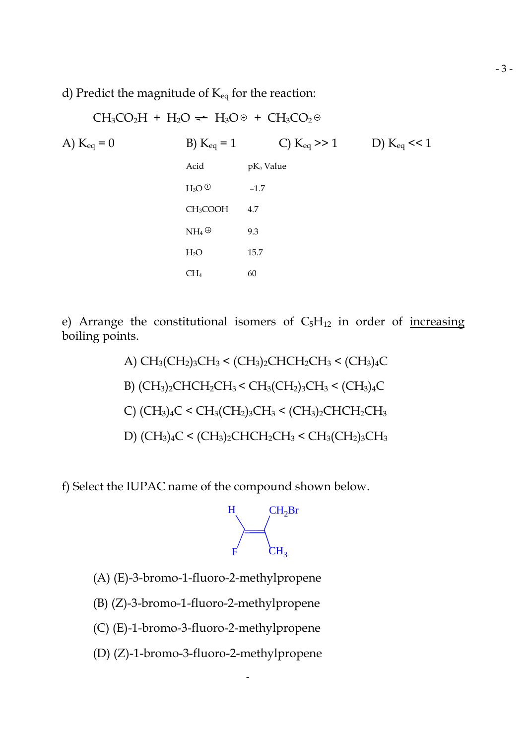d) Predict the magnitude of  $K_{eq}$  for the reaction:

$$
CH_3CO_2H + H_2O \rightleftharpoons H_3O \oplus + CH_3CO_2 \oplus
$$
\n
$$
A) K_{eq} = 0
$$
\n
$$
B) K_{eq} = 1
$$
\n
$$
C) K_{eq} >> 1
$$
\n
$$
D) K_{eq} << 1
$$
\n
$$
H_3O \oplus -1.7
$$
\n
$$
CH_3COOH \quad 4.7
$$
\n
$$
NH_4 \oplus 9.3
$$
\n
$$
H_2O \qquad 15.7
$$
\n
$$
CH_4 \qquad 60
$$

e) Arrange the constitutional isomers of  $C_5H_{12}$  in order of increasing boiling points.

\n A) 
$$
CH_3(CH_2)_3CH_3 < (CH_3)_2CHCH_2CH_2CH_3 < (CH_3)_4C
$$
\n

\n\n B)  $(CH_3)_2CHCH_2CH_3 < CH_3(CH_2)_3CH_3 < (CH_3)_4C$ \n

\n\n C)  $(CH_3)_4C < CH_3(CH_2)_3CH_3 < (CH_3)_2CHCH_2CH_3$ \n

\n\n D)  $(CH_3)_4C < (CH_3)_2CHCH_2CH_3 < CH_3(CH_2)_3CH_3$ \n

f) Select the IUPAC name of the compound shown below.



- (A) (E)-3-bromo-1-fluoro-2-methylpropene
- (B) (Z)-3-bromo-1-fluoro-2-methylpropene
- (C) (E)-1-bromo-3-fluoro-2-methylpropene
- (D) (Z)-1-bromo-3-fluoro-2-methylpropene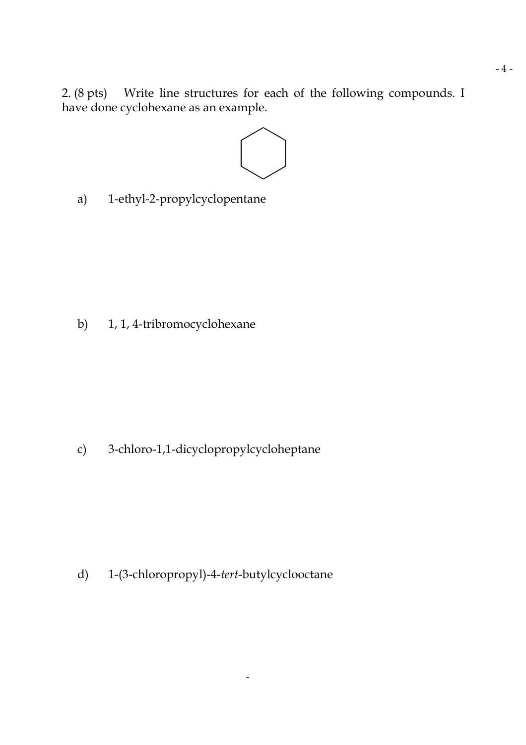2. (8 pts) Write line structures for each of the following compounds. I have done cyclohexane as an example.



a) 1-ethyl-2-propylcyclopentane

b) 1, 1, 4-tribromocyclohexane

c) 3-chloro-1,1-dicyclopropylcycloheptane

d) 1-(3-chloropropyl)-4-*tert*-butylcyclooctane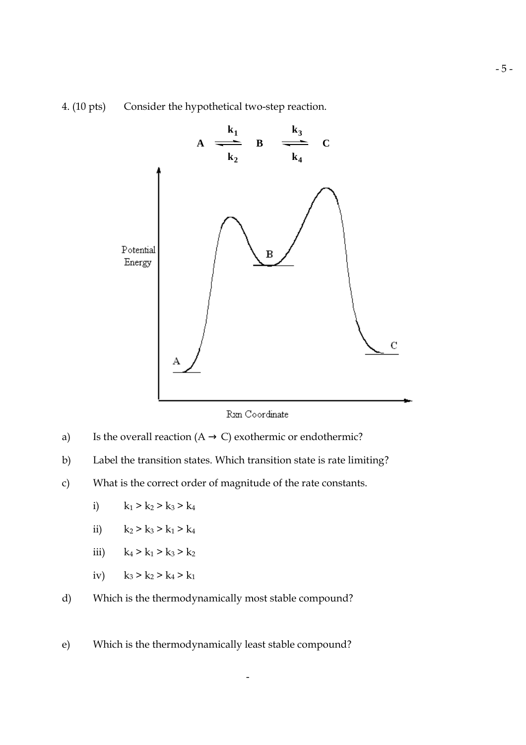## 4. (10 pts) Consider the hypothetical two-step reaction.



Rxn Coordinate

- a) Is the overall reaction  $(A \rightarrow C)$  exothermic or endothermic?
- b) Label the transition states. Which transition state is rate limiting?
- c) What is the correct order of magnitude of the rate constants.
	- i)  $k_1 > k_2 > k_3 > k_4$
	- ii)  $k_2 > k_3 > k_1 > k_4$
	- iii)  $k_4 > k_1 > k_3 > k_2$
	- iv)  $k_3 > k_2 > k_4 > k_1$
- d) Which is the thermodynamically most stable compound?
- e) Which is the thermodynamically least stable compound?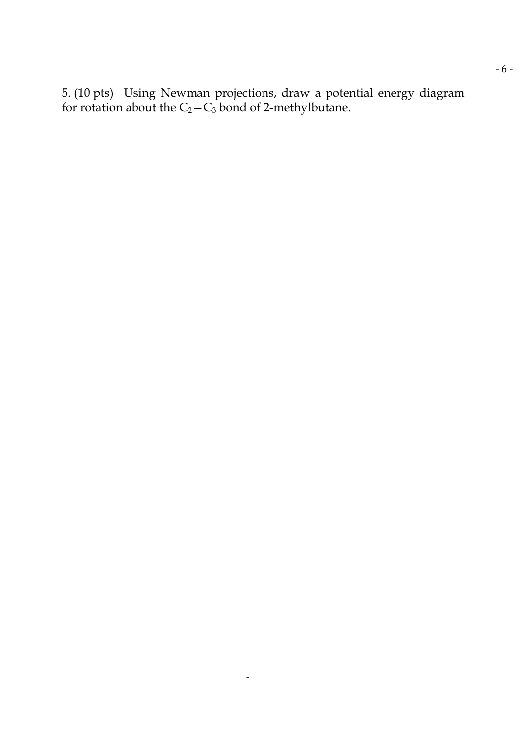5. (10 pts) Using Newman projections, draw a potential energy diagram for rotation about the  $C_2$  —  $C_3$  bond of 2-methylbutane.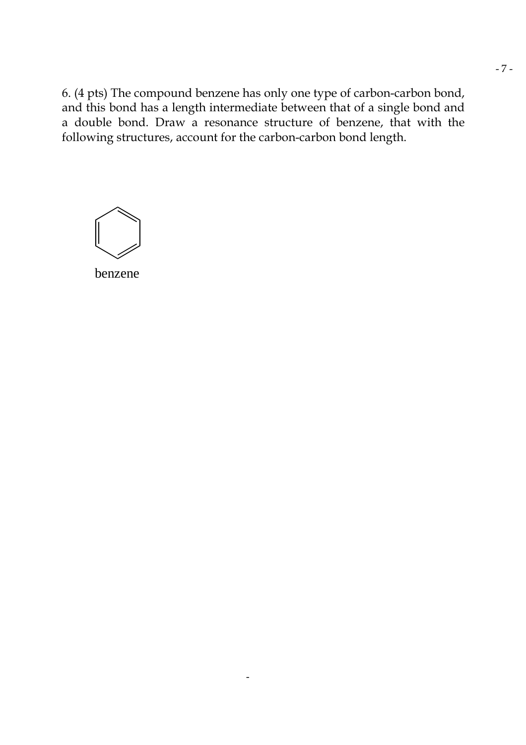6. (4 pts) The compound benzene has only one type of carbon-carbon bond, and this bond has a length intermediate between that of a single bond and a double bond. Draw a resonance structure of benzene, that with the following structures, account for the carbon-carbon bond length.

$$
\bigcirc \hspace{-3.5pt}\bigcirc
$$

benzene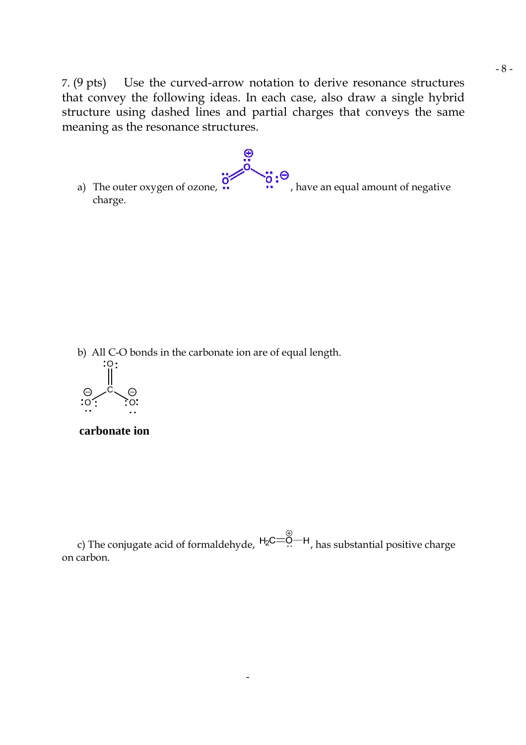7. (9 pts) Use the curved-arrow notation to derive resonance structures that convey the following ideas. In each case, also draw a single hybrid structure using dashed lines and partial charges that conveys the same meaning as the resonance structures.

a) The outer oxygen of ozone,  $\overline{\textbf{a}}$ ,  $\overline{\textbf{b}}$ , have an equal amount of negative charge. charge.

b) All C-O bonds in the carbonate ion are of equal length.



**carbonate ion**

c) The conjugate acid of formaldehyde,  $H_2C = \stackrel{\oplus}{\ldots} H$ , has substantial positive charge on carbon.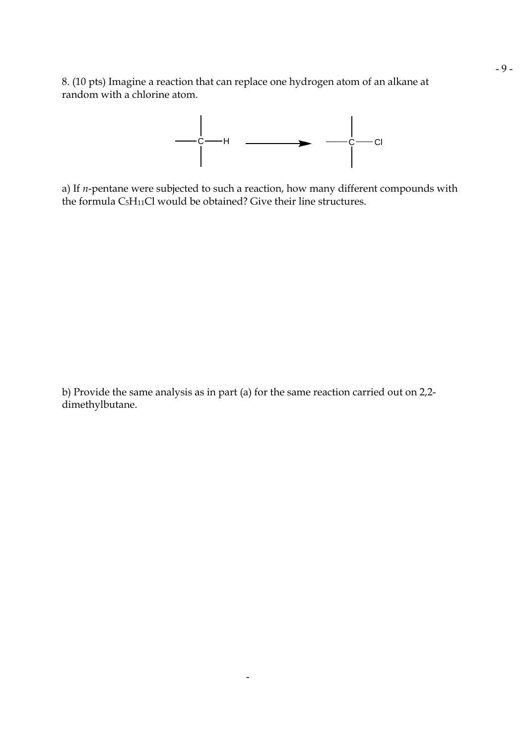8. (10 pts) Imagine a reaction that can replace one hydrogen atom of an alkane at random with a chlorine atom.



a) If *n*-pentane were subjected to such a reaction, how many different compounds with the formula C5H11Cl would be obtained? Give their line structures.

b) Provide the same analysis as in part (a) for the same reaction carried out on 2,2 dimethylbutane.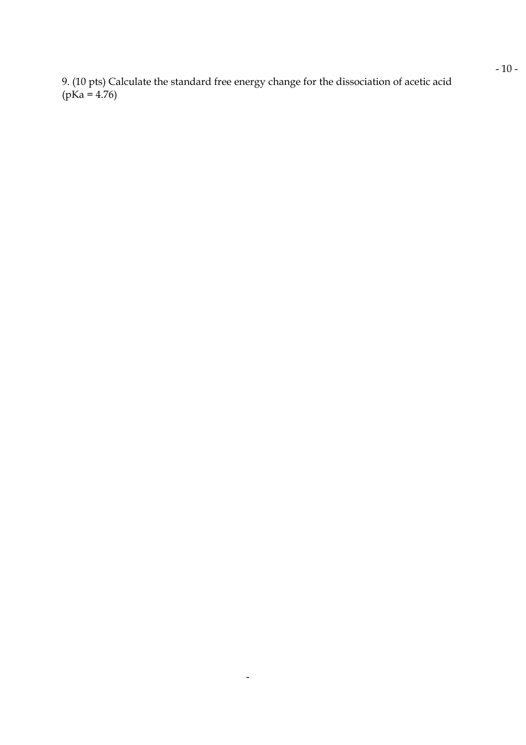9. (10 pts) Calculate the standard free energy change for the dissociation of acetic acid  $(pKa = 4.76)$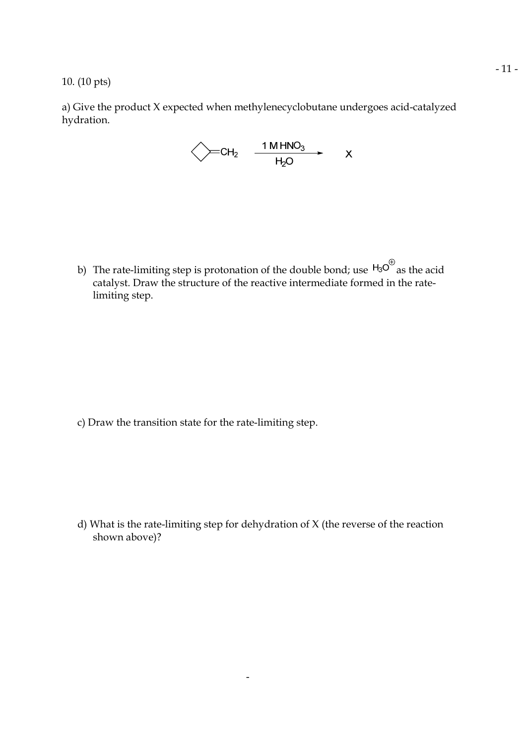10. (10 pts)

a) Give the product X expected when methylenecyclobutane undergoes acid-catalyzed hydration.

b) The rate-limiting step is protonation of the double bond; use  $H_3O^{\oplus}$  as the acid catalyst. Draw the structure of the reactive intermediate formed in the ratelimiting step.

c) Draw the transition state for the rate-limiting step.

d) What is the rate-limiting step for dehydration of X (the reverse of the reaction shown above)?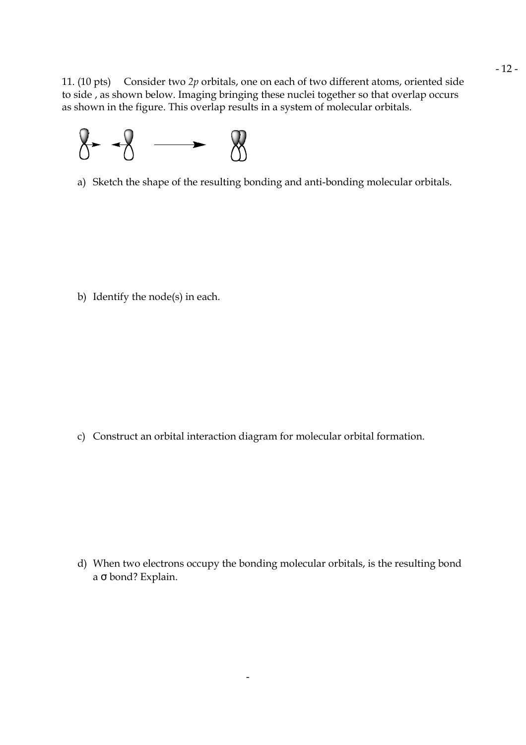11. (10 pts) Consider two *2p* orbitals, one on each of two different atoms, oriented side to side , as shown below. Imaging bringing these nuclei together so that overlap occurs as shown in the figure. This overlap results in a system of molecular orbitals.



a) Sketch the shape of the resulting bonding and anti-bonding molecular orbitals.

b) Identify the node(s) in each.

c) Construct an orbital interaction diagram for molecular orbital formation.

d) When two electrons occupy the bonding molecular orbitals, is the resulting bond a σ bond? Explain.